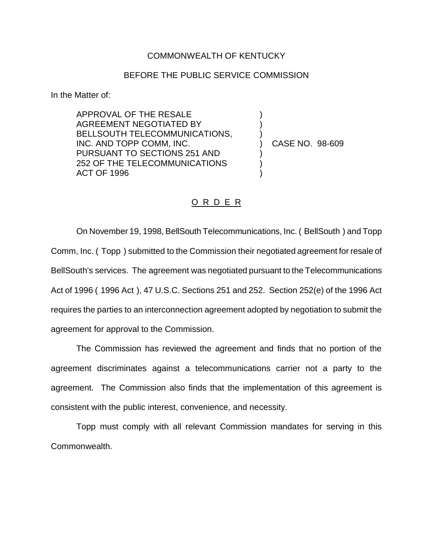## COMMONWEALTH OF KENTUCKY

## BEFORE THE PUBLIC SERVICE COMMISSION

) ) )

) ) )

In the Matter of:

APPROVAL OF THE RESALE AGREEMENT NEGOTIATED BY BELLSOUTH TELECOMMUNICATIONS, INC. AND TOPP COMM, INC. PURSUANT TO SECTIONS 251 AND 252 OF THE TELECOMMUNICATIONS ACT OF 1996

) CASE NO. 98-609

## O R D E R

On November 19, 1998, BellSouth Telecommunications, Inc. ( BellSouth ) and Topp Comm, Inc. ( Topp ) submitted to the Commission their negotiated agreement for resale of BellSouth's services. The agreement was negotiated pursuant to the Telecommunications Act of 1996 ( 1996 Act ), 47 U.S.C. Sections 251 and 252. Section 252(e) of the 1996 Act requires the parties to an interconnection agreement adopted by negotiation to submit the agreement for approval to the Commission.

The Commission has reviewed the agreement and finds that no portion of the agreement discriminates against a telecommunications carrier not a party to the agreement. The Commission also finds that the implementation of this agreement is consistent with the public interest, convenience, and necessity.

Topp must comply with all relevant Commission mandates for serving in this Commonwealth.